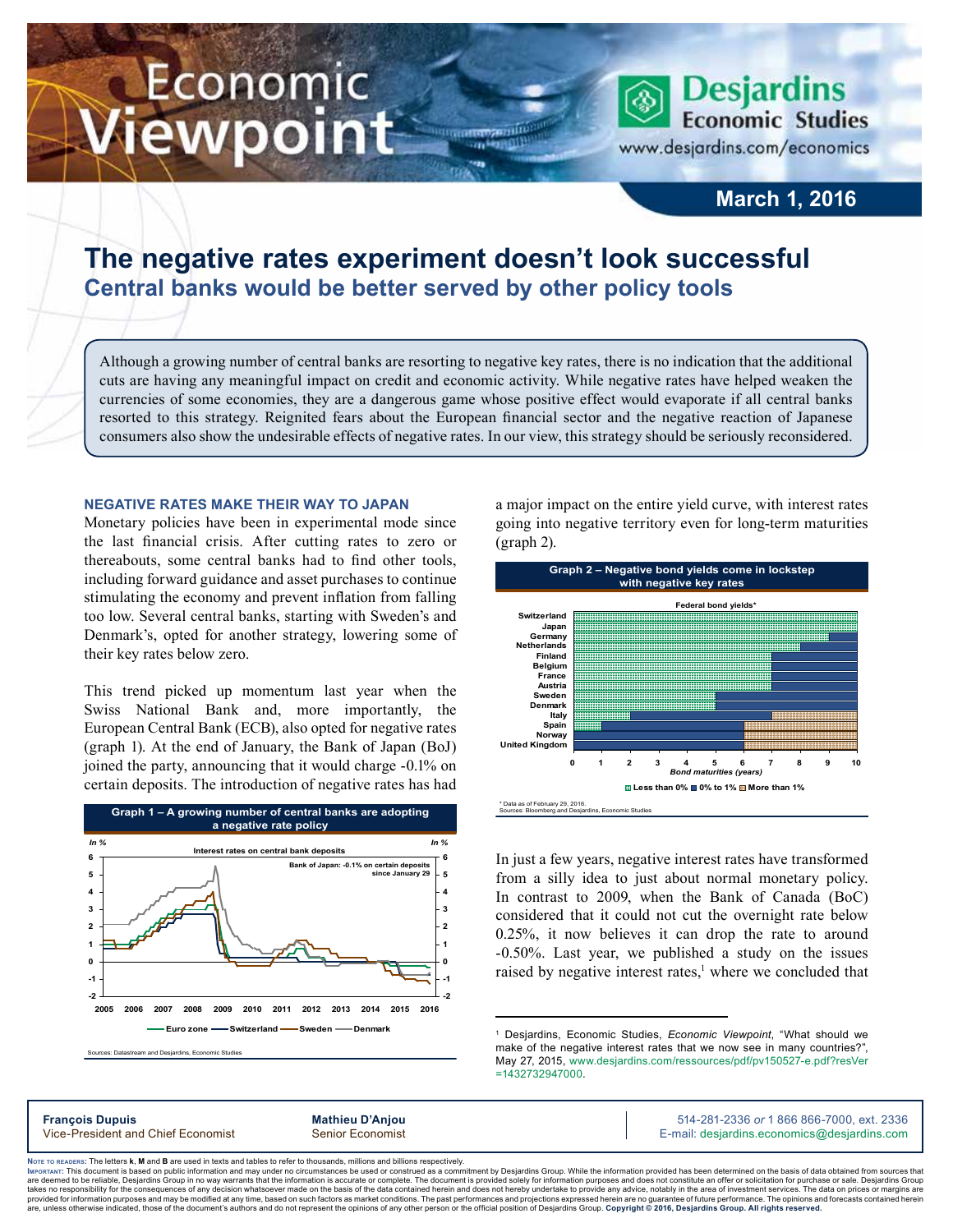# Economic ewpoint

www.desjardins.com/economics

**Desjardins Economic Studies** 

### **March 1, 2016**

## **The negative rates experiment doesn't look successful Central banks would be better served by other policy tools**

Although a growing number of central banks are resorting to negative key rates, there is no indication that the additional cuts are having any meaningful impact on credit and economic activity. While negative rates have helped weaken the currencies of some economies, they are a dangerous game whose positive effect would evaporate if all central banks resorted to this strategy. Reignited fears about the European financial sector and the negative reaction of Japanese consumers also show the undesirable effects of negative rates. In our view, this strategy should be seriously reconsidered.

m

#### **Negative rates make their way to Japan**

Monetary policies have been in experimental mode since the last financial crisis. After cutting rates to zero or thereabouts, some central banks had to find other tools, including forward guidance and asset purchases to continue stimulating the economy and prevent inflation from falling too low. Several central banks, starting with Sweden's and Denmark's, opted for another strategy, lowering some of their key rates below zero.

This trend picked up momentum last year when the Swiss National Bank and, more importantly, the European Central Bank (ECB), also opted for negative rates (graph 1). At the end of January, the Bank of Japan (BoJ) joined the party, announcing that it would charge -0.1% on certain deposits. The introduction of negative rates has had



a major impact on the entire yield curve, with interest rates going into negative territory even for long-term maturities (graph 2).



In just a few years, negative interest rates have transformed from a silly idea to just about normal monetary policy. In contrast to 2009, when the Bank of Canada (BoC) considered that it could not cut the overnight rate below 0.25%, it now believes it can drop the rate to around -0.50%. Last year, we published a study on the issues raised by negative interest rates,<sup>1</sup> where we concluded that

**François Dupuis Mathieu D'Anjou** 514-281-2336 *or* 1 866 866-7000, ext. 2336 Vice-President and Chief Economist Senior Economist Senior Economist E-mail: desjardins.economics@desjardins.com

Noте то келоекs: The letters **k, M** and **B** are used in texts and tables to refer to thousands, millions and billions respectively.<br>Імроктлит: This document is based on public information and may under no circumstances be are deemed to be reliable. Desiardins Group in no way warrants that the information is accurate or complete. The document is provided solely for information purposes and does not constitute an offer or solicitation for pur takes no responsibility for the consequences of any decision whatsoever made on the basis of the data contained herein and does not hereby undertake to provide any advice, notably in the area of investment services. The da

<sup>1</sup> Desjardins, Economic Studies, *Economic Viewpoint*, "What should we make of the negative interest rates that we now see in many countries?", May 27, 2015, [www.desjardins.com/ressources/pdf/pv150527-e.pdf?resVer](http://www.desjardins.com/ressources/pdf/pv150527-e.pdf?resVer=1432732947000) [=1432732947000](http://www.desjardins.com/ressources/pdf/pv150527-e.pdf?resVer=1432732947000).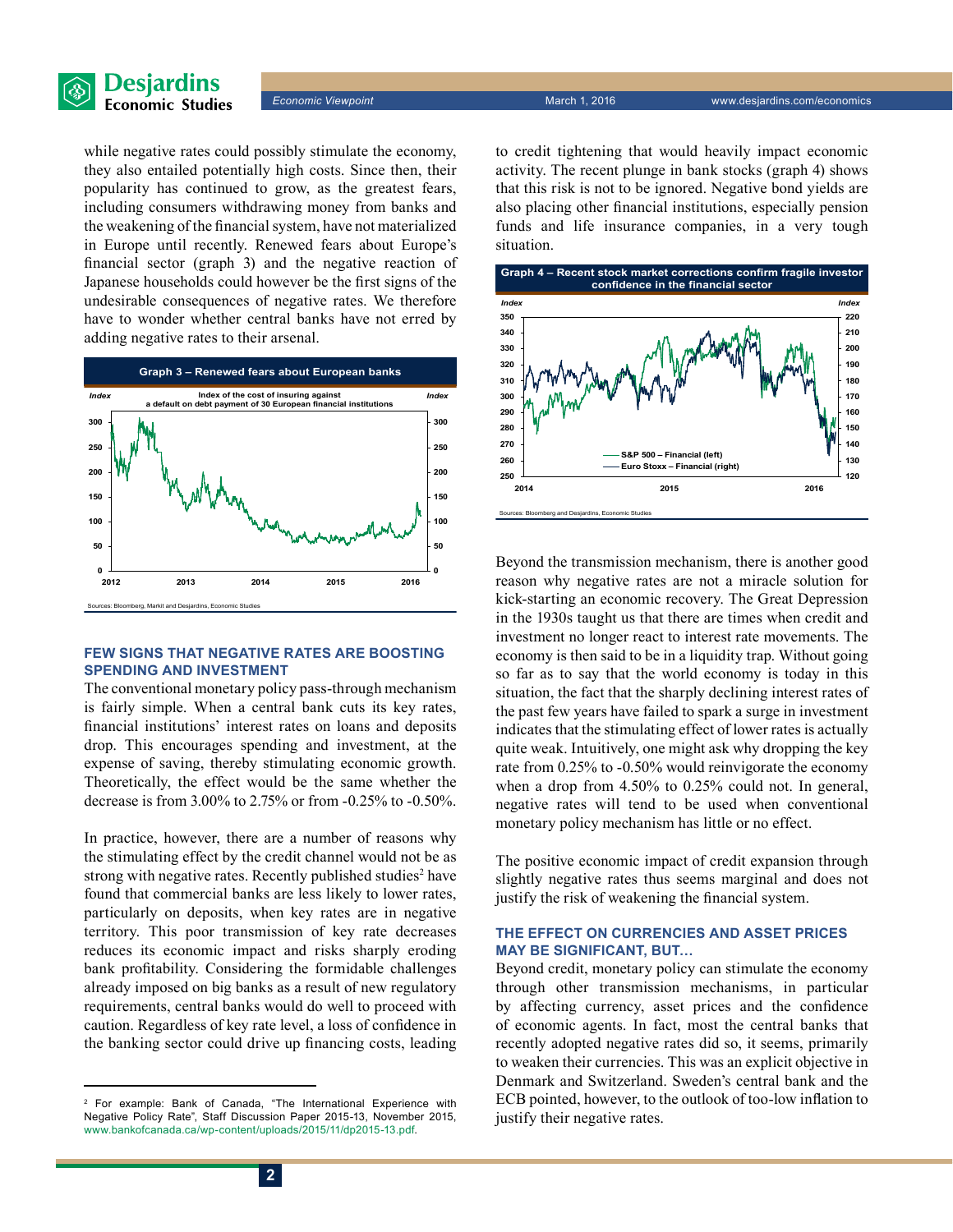

while negative rates could possibly stimulate the economy, they also entailed potentially high costs. Since then, their popularity has continued to grow, as the greatest fears, including consumers withdrawing money from banks and the weakening of the financial system, have not materialized in Europe until recently. Renewed fears about Europe's financial sector (graph 3) and the negative reaction of Japanese households could however be the first signs of the undesirable consequences of negative rates. We therefore have to wonder whether central banks have not erred by adding negative rates to their arsenal.



#### **Few signs that negative rates are boosting spending and investment**

The conventional monetary policy pass-through mechanism is fairly simple. When a central bank cuts its key rates, financial institutions' interest rates on loans and deposits drop. This encourages spending and investment, at the expense of saving, thereby stimulating economic growth. Theoretically, the effect would be the same whether the decrease is from 3.00% to 2.75% or from -0.25% to -0.50%.

In practice, however, there are a number of reasons why the stimulating effect by the credit channel would not be as strong with negative rates. Recently published studies<sup>2</sup> have found that commercial banks are less likely to lower rates, particularly on deposits, when key rates are in negative territory. This poor transmission of key rate decreases reduces its economic impact and risks sharply eroding bank profitability. Considering the formidable challenges already imposed on big banks as a result of new regulatory requirements, central banks would do well to proceed with caution. Regardless of key rate level, a loss of confidence in the banking sector could drive up financing costs, leading

to credit tightening that would heavily impact economic activity. The recent plunge in bank stocks (graph 4) shows that this risk is not to be ignored. Negative bond yields are also placing other financial institutions, especially pension funds and life insurance companies, in a very tough situation.



Beyond the transmission mechanism, there is another good reason why negative rates are not a miracle solution for kick-starting an economic recovery. The Great Depression in the 1930s taught us that there are times when credit and investment no longer react to interest rate movements. The economy is then said to be in a liquidity trap. Without going so far as to say that the world economy is today in this situation, the fact that the sharply declining interest rates of the past few years have failed to spark a surge in investment indicates that the stimulating effect of lower rates is actually quite weak. Intuitively, one might ask why dropping the key rate from 0.25% to -0.50% would reinvigorate the economy when a drop from 4.50% to 0.25% could not. In general, negative rates will tend to be used when conventional monetary policy mechanism has little or no effect.

The positive economic impact of credit expansion through slightly negative rates thus seems marginal and does not justify the risk of weakening the financial system.

#### **The effect on currencies and asset prices may be significant, but…**

Beyond credit, monetary policy can stimulate the economy through other transmission mechanisms, in particular by affecting currency, asset prices and the confidence of economic agents. In fact, most the central banks that recently adopted negative rates did so, it seems, primarily to weaken their currencies. This was an explicit objective in Denmark and Switzerland. Sweden's central bank and the ECB pointed, however, to the outlook of too-low inflation to justify their negative rates.

<sup>2</sup> For example: Bank of Canada, "The International Experience with Negative Policy Rate", Staff Discussion Paper 2015-13, November 2015, [www.bankofcanada.ca/wp-content/uploads/2015/11/dp2015-13.pdf](http://www.bankofcanada.ca/wp-content/uploads/2015/11/dp2015-13.pdf).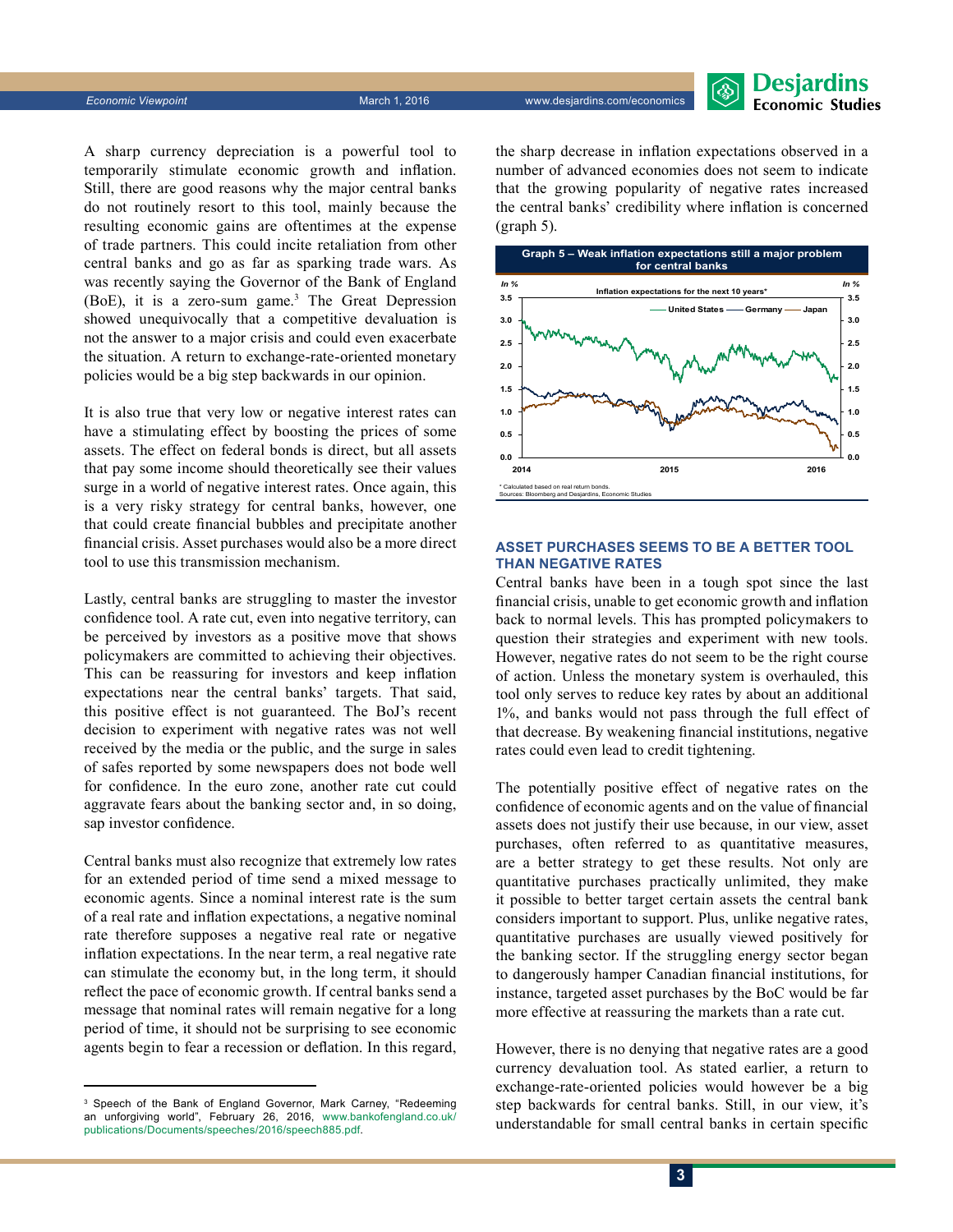

A sharp currency depreciation is a powerful tool to temporarily stimulate economic growth and inflation. Still, there are good reasons why the major central banks do not routinely resort to this tool, mainly because the resulting economic gains are oftentimes at the expense of trade partners. This could incite retaliation from other central banks and go as far as sparking trade wars. As was recently saying the Governor of the Bank of England (BoE), it is a zero-sum game.<sup>3</sup> The Great Depression showed unequivocally that a competitive devaluation is not the answer to a major crisis and could even exacerbate the situation. A return to exchange-rate-oriented monetary policies would be a big step backwards in our opinion.

It is also true that very low or negative interest rates can have a stimulating effect by boosting the prices of some assets. The effect on federal bonds is direct, but all assets that pay some income should theoretically see their values surge in a world of negative interest rates. Once again, this is a very risky strategy for central banks, however, one that could create financial bubbles and precipitate another financial crisis. Asset purchases would also be a more direct tool to use this transmission mechanism.

Lastly, central banks are struggling to master the investor confidence tool. A rate cut, even into negative territory, can be perceived by investors as a positive move that shows policymakers are committed to achieving their objectives. This can be reassuring for investors and keep inflation expectations near the central banks' targets. That said, this positive effect is not guaranteed. The BoJ's recent decision to experiment with negative rates was not well received by the media or the public, and the surge in sales of safes reported by some newspapers does not bode well for confidence. In the euro zone, another rate cut could aggravate fears about the banking sector and, in so doing, sap investor confidence.

Central banks must also recognize that extremely low rates for an extended period of time send a mixed message to economic agents. Since a nominal interest rate is the sum of a real rate and inflation expectations, a negative nominal rate therefore supposes a negative real rate or negative inflation expectations. In the near term, a real negative rate can stimulate the economy but, in the long term, it should reflect the pace of economic growth. If central banks send a message that nominal rates will remain negative for a long period of time, it should not be surprising to see economic agents begin to fear a recession or deflation. In this regard, the sharp decrease in inflation expectations observed in a number of advanced economies does not seem to indicate that the growing popularity of negative rates increased the central banks' credibility where inflation is concerned (graph 5).



#### **Asset purchases seems to be a better tool than negative rates**

Central banks have been in a tough spot since the last financial crisis, unable to get economic growth and inflation back to normal levels. This has prompted policymakers to question their strategies and experiment with new tools. However, negative rates do not seem to be the right course of action. Unless the monetary system is overhauled, this tool only serves to reduce key rates by about an additional 1%, and banks would not pass through the full effect of that decrease. By weakening financial institutions, negative rates could even lead to credit tightening.

The potentially positive effect of negative rates on the confidence of economic agents and on the value of financial assets does not justify their use because, in our view, asset purchases, often referred to as quantitative measures, are a better strategy to get these results. Not only are quantitative purchases practically unlimited, they make it possible to better target certain assets the central bank considers important to support. Plus, unlike negative rates, quantitative purchases are usually viewed positively for the banking sector. If the struggling energy sector began to dangerously hamper Canadian financial institutions, for instance, targeted asset purchases by the BoC would be far more effective at reassuring the markets than a rate cut.

However, there is no denying that negative rates are a good currency devaluation tool. As stated earlier, a return to exchange-rate-oriented policies would however be a big step backwards for central banks. Still, in our view, it's understandable for small central banks in certain specific

<sup>3</sup> Speech of the Bank of England Governor, Mark Carney, "Redeeming an unforgiving world", February 26, 2016, [www.bankofengland.co.uk/](http://www.bankofengland.co.uk/publications/Documents/speeches/2016/speech885.pdf) [publications/Documents/speeches/2016/speech885.pdf](http://www.bankofengland.co.uk/publications/Documents/speeches/2016/speech885.pdf).